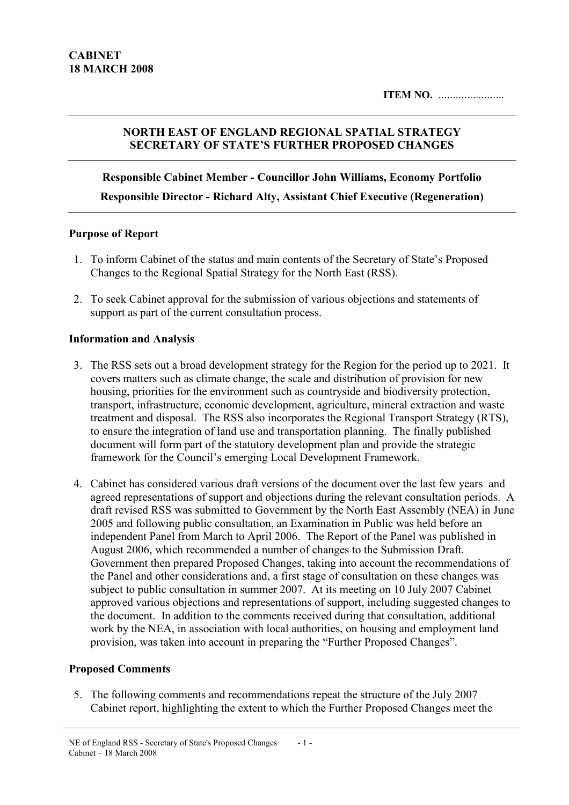# NORTH EAST OF ENGLAND REGIONAL SPATIAL STRATEGY SECRETARY OF STATE'S FURTHER PROPOSED CHANGES

Responsible Cabinet Member - Councillor John Williams, Economy Portfolio Responsible Director - Richard Alty, Assistant Chief Executive (Regeneration)

## Purpose of Report

- 1. To inform Cabinet of the status and main contents of the Secretary of State's Proposed Changes to the Regional Spatial Strategy for the North East (RSS).
- 2. To seek Cabinet approval for the submission of various objections and statements of support as part of the current consultation process.

# Information and Analysis

- 3. The RSS sets out a broad development strategy for the Region for the period up to 2021. It covers matters such as climate change, the scale and distribution of provision for new housing, priorities for the environment such as countryside and biodiversity protection, transport, infrastructure, economic development, agriculture, mineral extraction and waste treatment and disposal. The RSS also incorporates the Regional Transport Strategy (RTS), to ensure the integration of land use and transportation planning. The finally published document will form part of the statutory development plan and provide the strategic framework for the Council's emerging Local Development Framework.
- 4. Cabinet has considered various draft versions of the document over the last few years and agreed representations of support and objections during the relevant consultation periods. A draft revised RSS was submitted to Government by the North East Assembly (NEA) in June 2005 and following public consultation, an Examination in Public was held before an independent Panel from March to April 2006. The Report of the Panel was published in August 2006, which recommended a number of changes to the Submission Draft. Government then prepared Proposed Changes, taking into account the recommendations of the Panel and other considerations and, a first stage of consultation on these changes was subject to public consultation in summer 2007. At its meeting on 10 July 2007 Cabinet approved various objections and representations of support, including suggested changes to the document. In addition to the comments received during that consultation, additional work by the NEA, in association with local authorities, on housing and employment land provision, was taken into account in preparing the "Further Proposed Changes".

## Proposed Comments

5. The following comments and recommendations repeat the structure of the July 2007 Cabinet report, highlighting the extent to which the Further Proposed Changes meet the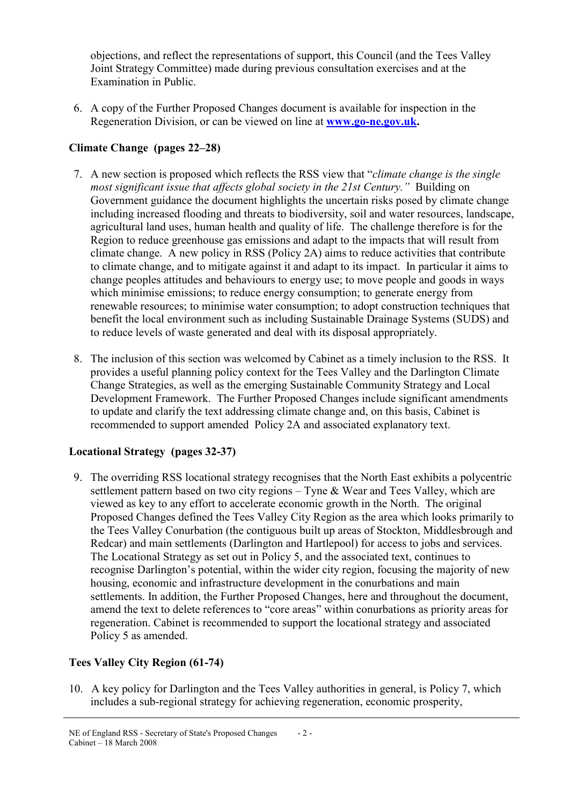objections, and reflect the representations of support, this Council (and the Tees Valley Joint Strategy Committee) made during previous consultation exercises and at the Examination in Public.

6. A copy of the Further Proposed Changes document is available for inspection in the Regeneration Division, or can be viewed on line at **www.go-ne.gov.uk.** 

# Climate Change (pages 22–28)

- 7. A new section is proposed which reflects the RSS view that "climate change is the single most significant issue that affects global society in the 21st Century." Building on Government guidance the document highlights the uncertain risks posed by climate change including increased flooding and threats to biodiversity, soil and water resources, landscape, agricultural land uses, human health and quality of life. The challenge therefore is for the Region to reduce greenhouse gas emissions and adapt to the impacts that will result from climate change. A new policy in RSS (Policy 2A) aims to reduce activities that contribute to climate change, and to mitigate against it and adapt to its impact. In particular it aims to change peoples attitudes and behaviours to energy use; to move people and goods in ways which minimise emissions; to reduce energy consumption; to generate energy from renewable resources; to minimise water consumption; to adopt construction techniques that benefit the local environment such as including Sustainable Drainage Systems (SUDS) and to reduce levels of waste generated and deal with its disposal appropriately.
- 8. The inclusion of this section was welcomed by Cabinet as a timely inclusion to the RSS. It provides a useful planning policy context for the Tees Valley and the Darlington Climate Change Strategies, as well as the emerging Sustainable Community Strategy and Local Development Framework. The Further Proposed Changes include significant amendments to update and clarify the text addressing climate change and, on this basis, Cabinet is recommended to support amended Policy 2A and associated explanatory text.

# Locational Strategy (pages 32-37)

9. The overriding RSS locational strategy recognises that the North East exhibits a polycentric settlement pattern based on two city regions – Tyne & Wear and Tees Valley, which are viewed as key to any effort to accelerate economic growth in the North. The original Proposed Changes defined the Tees Valley City Region as the area which looks primarily to the Tees Valley Conurbation (the contiguous built up areas of Stockton, Middlesbrough and Redcar) and main settlements (Darlington and Hartlepool) for access to jobs and services. The Locational Strategy as set out in Policy 5, and the associated text, continues to recognise Darlington's potential, within the wider city region, focusing the majority of new housing, economic and infrastructure development in the conurbations and main settlements. In addition, the Further Proposed Changes, here and throughout the document, amend the text to delete references to "core areas" within conurbations as priority areas for regeneration. Cabinet is recommended to support the locational strategy and associated Policy 5 as amended.

# Tees Valley City Region (61-74)

10. A key policy for Darlington and the Tees Valley authorities in general, is Policy 7, which includes a sub-regional strategy for achieving regeneration, economic prosperity,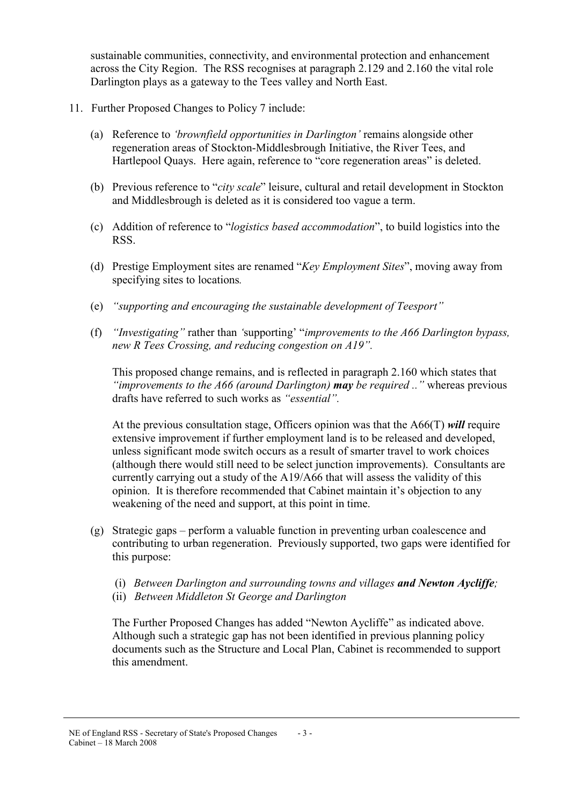sustainable communities, connectivity, and environmental protection and enhancement across the City Region. The RSS recognises at paragraph 2.129 and 2.160 the vital role Darlington plays as a gateway to the Tees valley and North East.

- 11. Further Proposed Changes to Policy 7 include:
	- (a) Reference to 'brownfield opportunities in Darlington' remains alongside other regeneration areas of Stockton-Middlesbrough Initiative, the River Tees, and Hartlepool Quays. Here again, reference to "core regeneration areas" is deleted.
	- (b) Previous reference to "city scale" leisure, cultural and retail development in Stockton and Middlesbrough is deleted as it is considered too vague a term.
	- (c) Addition of reference to "logistics based accommodation", to build logistics into the RSS.
	- (d) Prestige Employment sites are renamed "Key Employment Sites", moving away from specifying sites to locations.
	- (e) "supporting and encouraging the sustainable development of Teesport"
	- (f) "Investigating" rather than 'supporting' "improvements to the A66 Darlington bypass, new R Tees Crossing, and reducing congestion on A19".

This proposed change remains, and is reflected in paragraph 2.160 which states that "*improvements to the A66 (around Darlington)* **may** be required .." whereas previous drafts have referred to such works as "essential".

At the previous consultation stage, Officers opinion was that the A66(T) will require extensive improvement if further employment land is to be released and developed, unless significant mode switch occurs as a result of smarter travel to work choices (although there would still need to be select junction improvements). Consultants are currently carrying out a study of the A19/A66 that will assess the validity of this opinion. It is therefore recommended that Cabinet maintain it's objection to any weakening of the need and support, at this point in time.

- (g) Strategic gaps perform a valuable function in preventing urban coalescence and contributing to urban regeneration. Previously supported, two gaps were identified for this purpose:
	- (i) Between Darlington and surrounding towns and villages and Newton Aycliffe;
	- (ii) Between Middleton St George and Darlington

The Further Proposed Changes has added "Newton Aycliffe" as indicated above. Although such a strategic gap has not been identified in previous planning policy documents such as the Structure and Local Plan, Cabinet is recommended to support this amendment.

#### NE of England RSS - Secretary of State's Proposed Changes Cabinet – 18 March 2008 - 3 -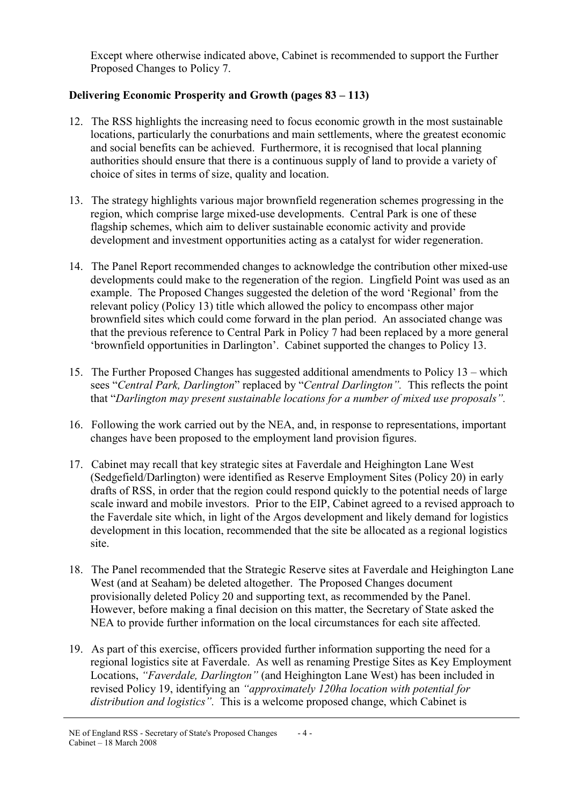Except where otherwise indicated above, Cabinet is recommended to support the Further Proposed Changes to Policy 7.

# Delivering Economic Prosperity and Growth (pages 83 – 113)

- 12. The RSS highlights the increasing need to focus economic growth in the most sustainable locations, particularly the conurbations and main settlements, where the greatest economic and social benefits can be achieved. Furthermore, it is recognised that local planning authorities should ensure that there is a continuous supply of land to provide a variety of choice of sites in terms of size, quality and location.
- 13. The strategy highlights various major brownfield regeneration schemes progressing in the region, which comprise large mixed-use developments. Central Park is one of these flagship schemes, which aim to deliver sustainable economic activity and provide development and investment opportunities acting as a catalyst for wider regeneration.
- 14. The Panel Report recommended changes to acknowledge the contribution other mixed-use developments could make to the regeneration of the region. Lingfield Point was used as an example. The Proposed Changes suggested the deletion of the word 'Regional' from the relevant policy (Policy 13) title which allowed the policy to encompass other major brownfield sites which could come forward in the plan period. An associated change was that the previous reference to Central Park in Policy 7 had been replaced by a more general 'brownfield opportunities in Darlington'. Cabinet supported the changes to Policy 13.
- 15. The Further Proposed Changes has suggested additional amendments to Policy 13 which sees "Central Park, Darlington" replaced by "Central Darlington". This reflects the point that "Darlington may present sustainable locations for a number of mixed use proposals".
- 16. Following the work carried out by the NEA, and, in response to representations, important changes have been proposed to the employment land provision figures.
- 17. Cabinet may recall that key strategic sites at Faverdale and Heighington Lane West (Sedgefield/Darlington) were identified as Reserve Employment Sites (Policy 20) in early drafts of RSS, in order that the region could respond quickly to the potential needs of large scale inward and mobile investors. Prior to the EIP, Cabinet agreed to a revised approach to the Faverdale site which, in light of the Argos development and likely demand for logistics development in this location, recommended that the site be allocated as a regional logistics site.
- 18. The Panel recommended that the Strategic Reserve sites at Faverdale and Heighington Lane West (and at Seaham) be deleted altogether. The Proposed Changes document provisionally deleted Policy 20 and supporting text, as recommended by the Panel. However, before making a final decision on this matter, the Secretary of State asked the NEA to provide further information on the local circumstances for each site affected.
- 19. As part of this exercise, officers provided further information supporting the need for a regional logistics site at Faverdale. As well as renaming Prestige Sites as Key Employment Locations, "Faverdale, Darlington" (and Heighington Lane West) has been included in revised Policy 19, identifying an "approximately 120ha location with potential for distribution and logistics". This is a welcome proposed change, which Cabinet is

NE of England RSS - Secretary of State's Proposed Changes Cabinet – 18 March 2008  $-4-$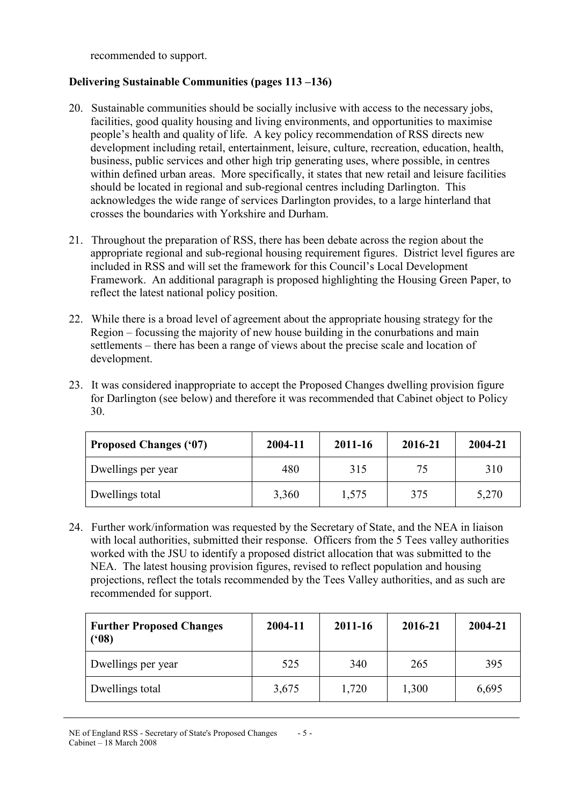recommended to support.

## Delivering Sustainable Communities (pages 113 –136)

- 20. Sustainable communities should be socially inclusive with access to the necessary jobs, facilities, good quality housing and living environments, and opportunities to maximise people's health and quality of life. A key policy recommendation of RSS directs new development including retail, entertainment, leisure, culture, recreation, education, health, business, public services and other high trip generating uses, where possible, in centres within defined urban areas. More specifically, it states that new retail and leisure facilities should be located in regional and sub-regional centres including Darlington. This acknowledges the wide range of services Darlington provides, to a large hinterland that crosses the boundaries with Yorkshire and Durham.
- 21. Throughout the preparation of RSS, there has been debate across the region about the appropriate regional and sub-regional housing requirement figures. District level figures are included in RSS and will set the framework for this Council's Local Development Framework. An additional paragraph is proposed highlighting the Housing Green Paper, to reflect the latest national policy position.
- 22. While there is a broad level of agreement about the appropriate housing strategy for the Region – focussing the majority of new house building in the conurbations and main settlements – there has been a range of views about the precise scale and location of development.
- 23. It was considered inappropriate to accept the Proposed Changes dwelling provision figure for Darlington (see below) and therefore it was recommended that Cabinet object to Policy 30.

| <b>Proposed Changes ('07)</b> | 2004-11 | 2011-16 | 2016-21 | 2004-21 |
|-------------------------------|---------|---------|---------|---------|
| Dwellings per year            | 480     | 315     | 75      | 310     |
| Dwellings total               | 3,360   | 1,575   | 375     | 5,270   |

24. Further work/information was requested by the Secretary of State, and the NEA in liaison with local authorities, submitted their response. Officers from the 5 Tees valley authorities worked with the JSU to identify a proposed district allocation that was submitted to the NEA. The latest housing provision figures, revised to reflect population and housing projections, reflect the totals recommended by the Tees Valley authorities, and as such are recommended for support.

| <b>Further Proposed Changes</b><br>(98) | 2004-11 | 2011-16 | 2016-21 | 2004-21 |
|-----------------------------------------|---------|---------|---------|---------|
| Dwellings per year                      | 525     | 340     | 265     | 395     |
| Dwellings total                         | 3,675   | 1,720   | 1,300   | 6,695   |

NE of England RSS - Secretary of State's Proposed Changes Cabinet – 18 March 2008 - 5 -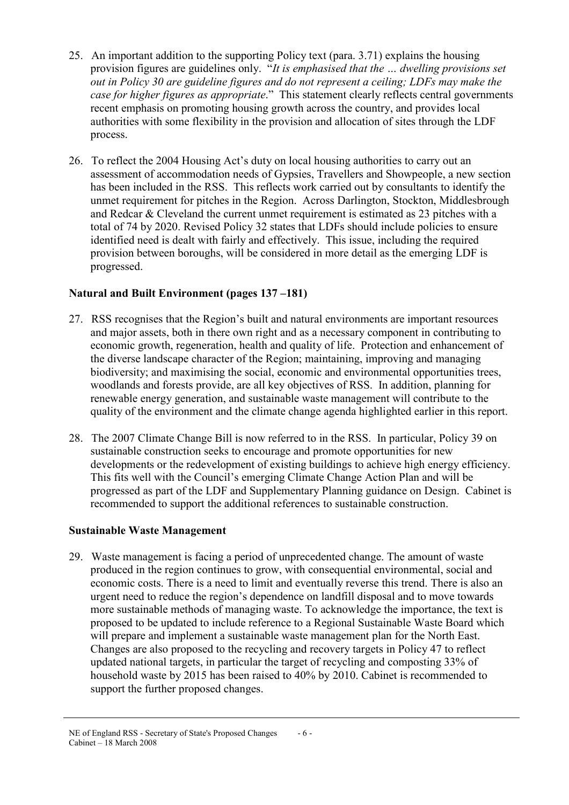- 25. An important addition to the supporting Policy text (para. 3.71) explains the housing provision figures are guidelines only. "It is emphasised that the … dwelling provisions set out in Policy 30 are guideline figures and do not represent a ceiling; LDFs may make the case for higher figures as appropriate." This statement clearly reflects central governments recent emphasis on promoting housing growth across the country, and provides local authorities with some flexibility in the provision and allocation of sites through the LDF process.
- 26. To reflect the 2004 Housing Act's duty on local housing authorities to carry out an assessment of accommodation needs of Gypsies, Travellers and Showpeople, a new section has been included in the RSS. This reflects work carried out by consultants to identify the unmet requirement for pitches in the Region. Across Darlington, Stockton, Middlesbrough and Redcar & Cleveland the current unmet requirement is estimated as 23 pitches with a total of 74 by 2020. Revised Policy 32 states that LDFs should include policies to ensure identified need is dealt with fairly and effectively. This issue, including the required provision between boroughs, will be considered in more detail as the emerging LDF is progressed.

## Natural and Built Environment (pages 137 –181)

- 27. RSS recognises that the Region's built and natural environments are important resources and major assets, both in there own right and as a necessary component in contributing to economic growth, regeneration, health and quality of life. Protection and enhancement of the diverse landscape character of the Region; maintaining, improving and managing biodiversity; and maximising the social, economic and environmental opportunities trees, woodlands and forests provide, are all key objectives of RSS. In addition, planning for renewable energy generation, and sustainable waste management will contribute to the quality of the environment and the climate change agenda highlighted earlier in this report.
- 28. The 2007 Climate Change Bill is now referred to in the RSS. In particular, Policy 39 on sustainable construction seeks to encourage and promote opportunities for new developments or the redevelopment of existing buildings to achieve high energy efficiency. This fits well with the Council's emerging Climate Change Action Plan and will be progressed as part of the LDF and Supplementary Planning guidance on Design. Cabinet is recommended to support the additional references to sustainable construction.

# Sustainable Waste Management

29. Waste management is facing a period of unprecedented change. The amount of waste produced in the region continues to grow, with consequential environmental, social and economic costs. There is a need to limit and eventually reverse this trend. There is also an urgent need to reduce the region's dependence on landfill disposal and to move towards more sustainable methods of managing waste. To acknowledge the importance, the text is proposed to be updated to include reference to a Regional Sustainable Waste Board which will prepare and implement a sustainable waste management plan for the North East. Changes are also proposed to the recycling and recovery targets in Policy 47 to reflect updated national targets, in particular the target of recycling and composting 33% of household waste by 2015 has been raised to 40% by 2010. Cabinet is recommended to support the further proposed changes.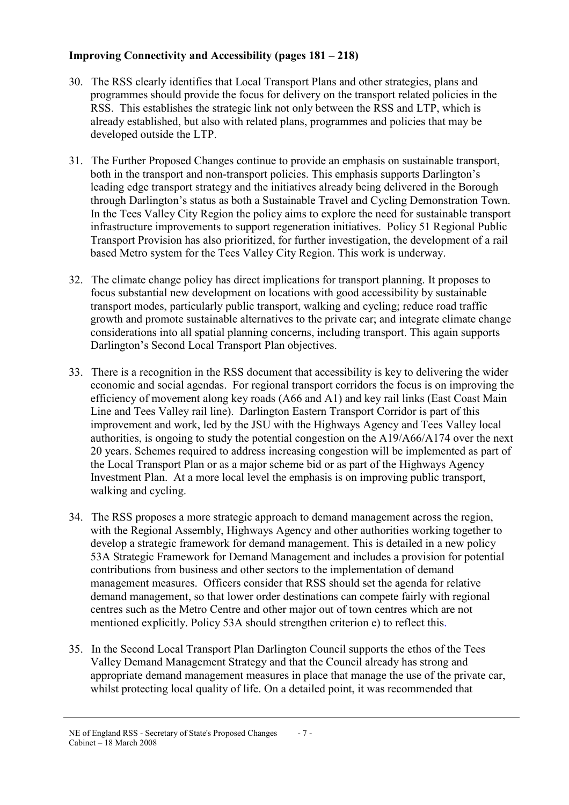# Improving Connectivity and Accessibility (pages 181 – 218)

- 30. The RSS clearly identifies that Local Transport Plans and other strategies, plans and programmes should provide the focus for delivery on the transport related policies in the RSS. This establishes the strategic link not only between the RSS and LTP, which is already established, but also with related plans, programmes and policies that may be developed outside the LTP.
- 31. The Further Proposed Changes continue to provide an emphasis on sustainable transport, both in the transport and non-transport policies. This emphasis supports Darlington's leading edge transport strategy and the initiatives already being delivered in the Borough through Darlington's status as both a Sustainable Travel and Cycling Demonstration Town. In the Tees Valley City Region the policy aims to explore the need for sustainable transport infrastructure improvements to support regeneration initiatives. Policy 51 Regional Public Transport Provision has also prioritized, for further investigation, the development of a rail based Metro system for the Tees Valley City Region. This work is underway.
- 32. The climate change policy has direct implications for transport planning. It proposes to focus substantial new development on locations with good accessibility by sustainable transport modes, particularly public transport, walking and cycling; reduce road traffic growth and promote sustainable alternatives to the private car; and integrate climate change considerations into all spatial planning concerns, including transport. This again supports Darlington's Second Local Transport Plan objectives.
- 33. There is a recognition in the RSS document that accessibility is key to delivering the wider economic and social agendas. For regional transport corridors the focus is on improving the efficiency of movement along key roads (A66 and A1) and key rail links (East Coast Main Line and Tees Valley rail line). Darlington Eastern Transport Corridor is part of this improvement and work, led by the JSU with the Highways Agency and Tees Valley local authorities, is ongoing to study the potential congestion on the A19/A66/A174 over the next 20 years. Schemes required to address increasing congestion will be implemented as part of the Local Transport Plan or as a major scheme bid or as part of the Highways Agency Investment Plan. At a more local level the emphasis is on improving public transport, walking and cycling.
- 34. The RSS proposes a more strategic approach to demand management across the region, with the Regional Assembly, Highways Agency and other authorities working together to develop a strategic framework for demand management. This is detailed in a new policy 53A Strategic Framework for Demand Management and includes a provision for potential contributions from business and other sectors to the implementation of demand management measures. Officers consider that RSS should set the agenda for relative demand management, so that lower order destinations can compete fairly with regional centres such as the Metro Centre and other major out of town centres which are not mentioned explicitly. Policy 53A should strengthen criterion e) to reflect this.
- 35. In the Second Local Transport Plan Darlington Council supports the ethos of the Tees Valley Demand Management Strategy and that the Council already has strong and appropriate demand management measures in place that manage the use of the private car, whilst protecting local quality of life. On a detailed point, it was recommended that

NE of England RSS - Secretary of State's Proposed Changes Cabinet – 18 March 2008 - 7 -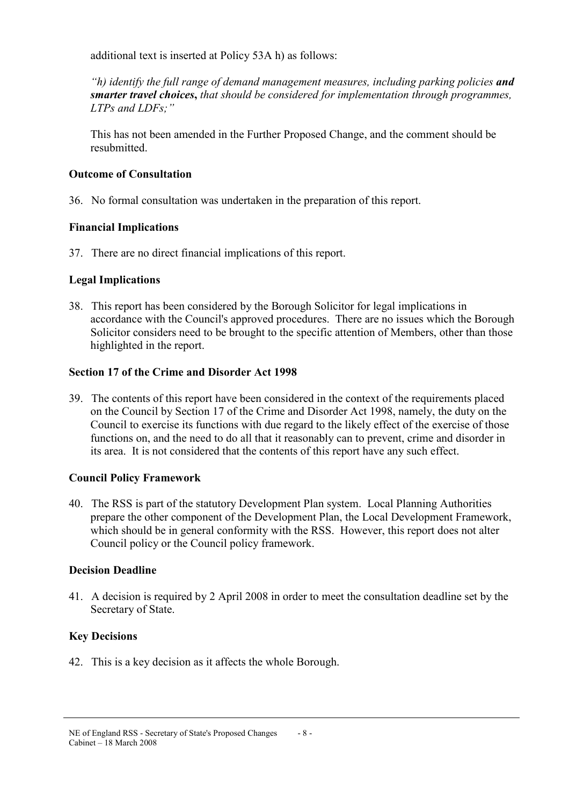additional text is inserted at Policy 53A h) as follows:

"h) identify the full range of demand management measures, including parking policies and smarter travel choices, that should be considered for implementation through programmes, LTPs and LDFs;"

This has not been amended in the Further Proposed Change, and the comment should be resubmitted.

## Outcome of Consultation

36. No formal consultation was undertaken in the preparation of this report.

## Financial Implications

37. There are no direct financial implications of this report.

## Legal Implications

38. This report has been considered by the Borough Solicitor for legal implications in accordance with the Council's approved procedures. There are no issues which the Borough Solicitor considers need to be brought to the specific attention of Members, other than those highlighted in the report.

## Section 17 of the Crime and Disorder Act 1998

39. The contents of this report have been considered in the context of the requirements placed on the Council by Section 17 of the Crime and Disorder Act 1998, namely, the duty on the Council to exercise its functions with due regard to the likely effect of the exercise of those functions on, and the need to do all that it reasonably can to prevent, crime and disorder in its area. It is not considered that the contents of this report have any such effect.

## Council Policy Framework

40. The RSS is part of the statutory Development Plan system. Local Planning Authorities prepare the other component of the Development Plan, the Local Development Framework, which should be in general conformity with the RSS. However, this report does not alter Council policy or the Council policy framework.

## Decision Deadline

41. A decision is required by 2 April 2008 in order to meet the consultation deadline set by the Secretary of State.

# Key Decisions

42. This is a key decision as it affects the whole Borough.